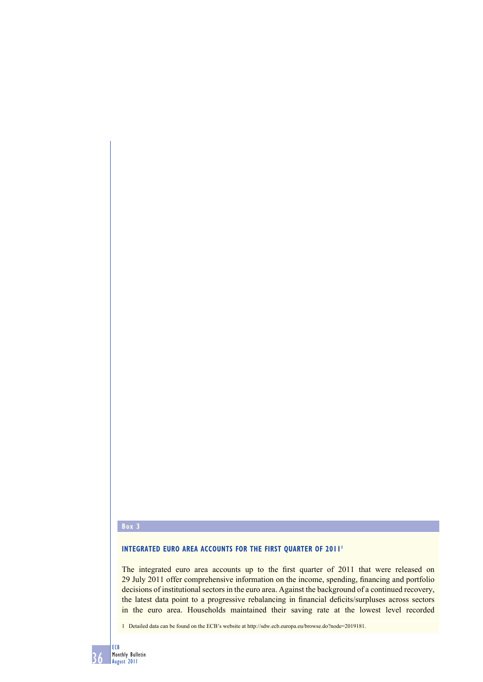# **Box 3**

# **INTEGRATED EURO AREA ACCOUNTS FOR THE FIRST QUARTER OF 2011<sup>1</sup>**

The integrated euro area accounts up to the first quarter of 2011 that were released on 29 July 2011 offer comprehensive information on the income, spending, financing and portfolio decisions of institutional sectors in the euro area. Against the background of a continued recovery, the latest data point to a progressive rebalancing in financial deficits/surpluses across sectors in the euro area. Households maintained their saving rate at the lowest level recorded

1 Detailed data can be found on the ECB's website at http://sdw.ecb.europa.eu/browse.do?node=2019181.

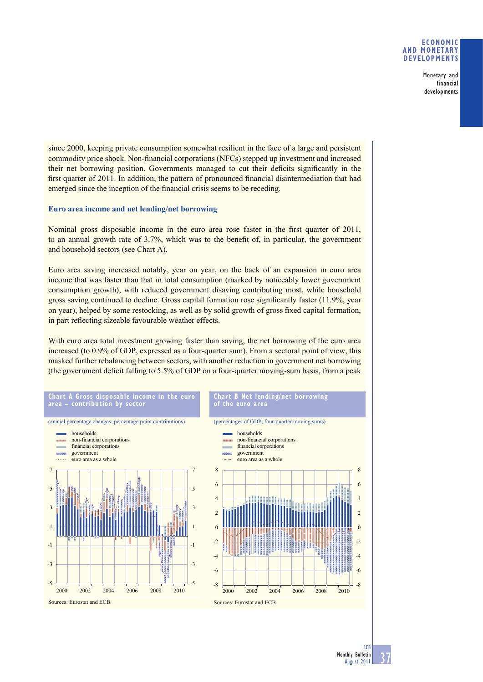## **ECONOMIC AND MONETARY DEVELOPMENTS**

Monetary and financial developments

since 2000, keeping private consumption somewhat resilient in the face of a large and persistent commodity price shock. Non-financial corporations (NFCs) stepped up investment and increased their net borrowing position. Governments managed to cut their deficits significantly in the first quarter of 2011. In addition, the pattern of pronounced financial disintermediation that had emerged since the inception of the financial crisis seems to be receding.

# **Euro area income and net lending/net borrowing**

Nominal gross disposable income in the euro area rose faster in the first quarter of 2011, to an annual growth rate of 3.7%, which was to the benefit of, in particular, the government and household sectors (see Chart A).

Euro area saving increased notably, year on year, on the back of an expansion in euro area income that was faster than that in total consumption (marked by noticeably lower government consumption growth), with reduced government disaving contributing most, while household gross saving continued to decline. Gross capital formation rose significantly faster  $(11.9\%$ , year on year), helped by some restocking, as well as by solid growth of gross fixed capital formation, in part reflecting sizeable favourable weather effects.

With euro area total investment growing faster than saving, the net borrowing of the euro area increased (to 0.9% of GDP, expressed as a four-quarter sum). From a sectoral point of view, this masked further rebalancing between sectors, with another reduction in government net borrowing (the government deficit falling to  $5.5\%$  of GDP on a four-quarter moving-sum basis, from a peak



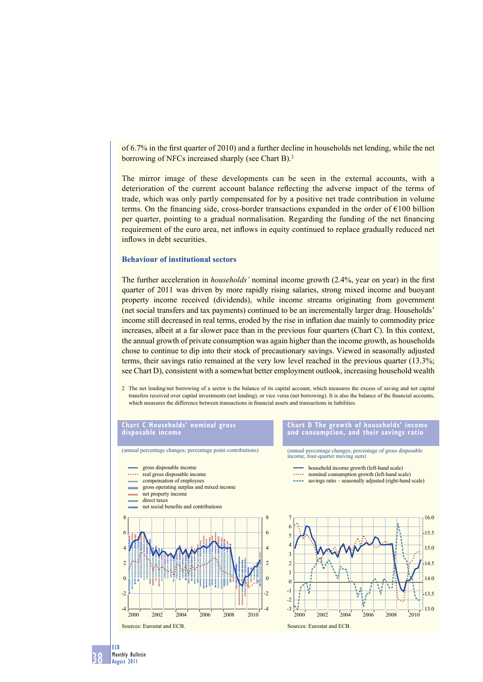of  $6.7\%$  in the first quarter of 2010) and a further decline in households net lending, while the net borrowing of NFCs increased sharply (see Chart B).<sup>2</sup>

The mirror image of these developments can be seen in the external accounts, with a deterioration of the current account balance reflecting the adverse impact of the terms of trade, which was only partly compensated for by a positive net trade contribution in volume terms. On the financing side, cross-border transactions expanded in the order of  $E100$  billion per quarter, pointing to a gradual normalisation. Regarding the funding of the net financing requirement of the euro area, net inflows in equity continued to replace gradually reduced net inflows in debt securities.

#### **Behaviour of institutional sectors**

The further acceleration in *households'* nominal income growth (2.4%, year on year) in the first quarter of 2011 was driven by more rapidly rising salaries, strong mixed income and buoyant property income received (dividends), while income streams originating from government (net social transfers and tax payments) continued to be an incrementally larger drag. Households' income still decreased in real terms, eroded by the rise in inflation due mainly to commodity price increases, albeit at a far slower pace than in the previous four quarters (Chart C). In this context, the annual growth of private consumption was again higher than the income growth, as households chose to continue to dip into their stock of precautionary savings. Viewed in seasonally adjusted terms, their savings ratio remained at the very low level reached in the previous quarter (13.3%; see Chart D), consistent with a somewhat better employment outlook, increasing household wealth

2 The net lending/net borrowing of a sector is the balance of its capital account, which measures the excess of saving and net capital transfers received over capital investments (net lending), or vice versa (net borrowing). It is also the balance of the financial accounts, which measures the difference between transactions in financial assets and transactions in liabilities.

# **Chart C Households' nominal gross disposable income** (annual percentage changes; percentage point contributions) gross disposable income

- . . . . . real gross disposable income
- compensation of employees
- gross operating surplus and mixed income
- net property income
- direct taxes **COMMERCE**





**Chart D The growth of households' income and consumption, and their savings ratio**

(annual percentage changes; percentage of gross disposable income; four-quarter moving sum)

- household income growth (left-hand scale)
- nominal consumption growth (left-hand scale)
- savings ratio seasonally adjusted (right-hand scale)



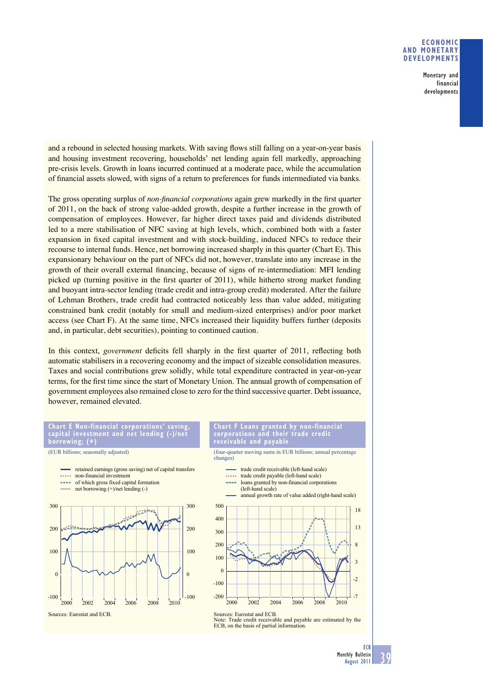## **ECONOMIC AND MONETARY DEVELOPMENTS**

Monetary and financial developments

and a rebound in selected housing markets. With saving flows still falling on a year-on-year basis and housing investment recovering, households' net lending again fell markedly, approaching pre-crisis levels. Growth in loans incurred continued at a moderate pace, while the accumulation of fi nancial assets slowed, with signs of a return to preferences for funds intermediated via banks.

The gross operating surplus of *non-financial corporations* again grew markedly in the first quarter of 2011, on the back of strong value-added growth, despite a further increase in the growth of compensation of employees. However, far higher direct taxes paid and dividends distributed led to a mere stabilisation of NFC saving at high levels, which, combined both with a faster expansion in fixed capital investment and with stock-building, induced NFCs to reduce their recourse to internal funds. Hence, net borrowing increased sharply in this quarter (Chart E). This expansionary behaviour on the part of NFCs did not, however, translate into any increase in the growth of their overall external financing, because of signs of re-intermediation: MFI lending picked up (turning positive in the first quarter of  $2011$ ), while hitherto strong market funding and buoyant intra-sector lending (trade credit and intra-group credit) moderated. After the failure of Lehman Brothers, trade credit had contracted noticeably less than value added, mitigating constrained bank credit (notably for small and medium-sized enterprises) and/or poor market access (see Chart F). At the same time, NFCs increased their liquidity buffers further (deposits and, in particular, debt securities), pointing to continued caution.

In this context, *government* deficits fell sharply in the first quarter of 2011, reflecting both automatic stabilisers in a recovering economy and the impact of sizeable consolidation measures. Taxes and social contributions grew solidly, while total expenditure contracted in year-on-year terms, for the first time since the start of Monetary Union. The annual growth of compensation of government employees also remained close to zero for the third successive quarter. Debt issuance, however, remained elevated.

#### **Chart E Non-financial corporations' saving, capital investment and net lending (-)/net borrowing; (+)**

(EUR billions; seasonally adjusted)



Sources: Eurostat and ECB.

#### **Chart F Loans granted by non-financial corporations and their trade credit receivable and payable**

(four-quarter moving sums in EUR billions; annual percentage changes)

- trade credit receivable (left-hand scale) trade credit payable (left-hand scale)
- loans granted by non-financial corporations (left-hand scale)





Sources: Eurostat and ECB. Note: Trade credit receivable and payable are estimated by the ECB, on the basis of partial information.

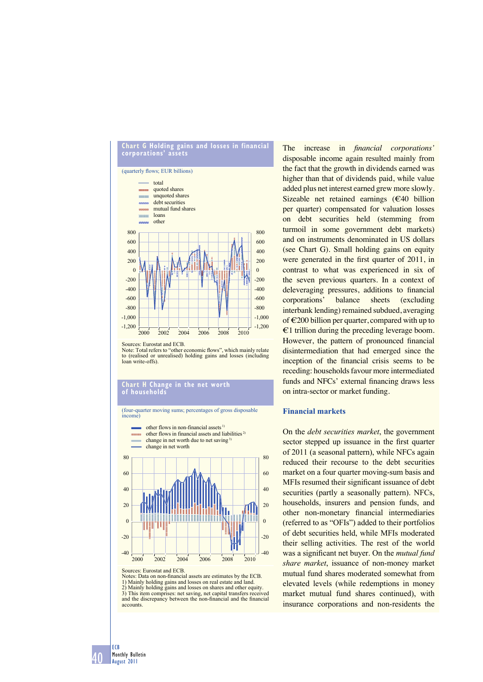

Sources: Eurostat and ECB.

Note: Total refers to "other economic flows", which mainly relate to (realised or unrealised) holding gains and losses (including loan write-offs).

### in the net worth **Chart H Change**<br>of households

(four-quarter moving sums; percentages of gross disposable income)



Sources: Eurostat and ECB. Notes: Data on non-financial assets are estimates by the ECB.

1) Mainly holding gains and losses on real estate and land. 2) Mainly holding gains and losses on shares and other equity. 3) This item comprises: net saving, net capital transfers received and the discrepancy between the non-financial and the financial accounts.

The increase in *financial corporations'* disposable income again resulted mainly from the fact that the growth in dividends earned was higher than that of dividends paid, while value added plus net interest earned grew more slowly. Sizeable net retained earnings (€40 billion per quarter) compensated for valuation losses on debt securities held (stemming from turmoil in some government debt markets) and on instruments denominated in US dollars (see Chart G). Small holding gains on equity were generated in the first quarter of 2011, in contrast to what was experienced in six of the seven previous quarters. In a context of deleveraging pressures, additions to financial corporations' balance sheets (excluding interbank lending) remained subdued, averaging of  $\epsilon$ 200 billion per quarter, compared with up to €1 trillion during the preceding leverage boom. However, the pattern of pronounced financial disintermediation that had emerged since the inception of the financial crisis seems to be receding: households favour more intermediated funds and NFCs' external financing draws less on intra-sector or market funding.

# **Financial markets**

On the *debt securities market*, the government sector stepped up issuance in the first quarter of 2011 (a seasonal pattern), while NFCs again reduced their recourse to the debt securities market on a four quarter moving-sum basis and MFIs resumed their significant issuance of debt securities (partly a seasonally pattern). NFCs, households, insurers and pension funds, and other non-monetary financial intermediaries (referred to as "OFIs") added to their portfolios of debt securities held, while MFIs moderated their selling activities. The rest of the world was a significant net buyer. On the *mutual fund share market*, issuance of non-money market mutual fund shares moderated somewhat from elevated levels (while redemptions in money market mutual fund shares continued), with insurance corporations and non-residents the

40 ECB Monthly Bulletin August 2011